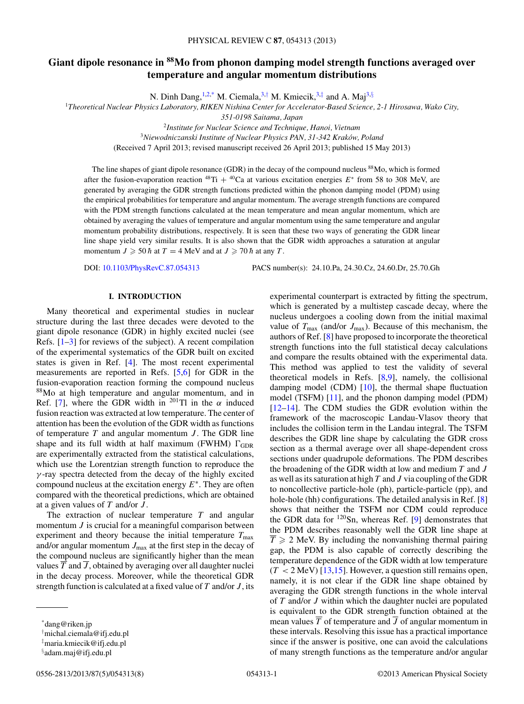# **Giant dipole resonance in 88Mo from phonon damping model strength functions averaged over temperature and angular momentum distributions**

N. Dinh Dang,  $1,2,^*$  M. Ciemala,  $3,^{\dagger}$  M. Kmiecik,  $3,^{\dagger}$  and A. Maj $3,^{\dagger}$ 

<sup>1</sup>*Theoretical Nuclear Physics Laboratory, RIKEN Nishina Center for Accelerator-Based Science, 2-1 Hirosawa, Wako City,*

*351-0198 Saitama, Japan*

<sup>2</sup>*Institute for Nuclear Science and Technique, Hanoi, Vietnam*

<sup>3</sup>*Niewodniczanski Institute of Nuclear Physics PAN, 31-342 Krakow, Poland ´*

(Received 7 April 2013; revised manuscript received 26 April 2013; published 15 May 2013)

The line shapes of giant dipole resonance (GDR) in the decay of the compound nucleus <sup>88</sup>Mo, which is formed after the fusion-evaporation reaction  $^{48}Ti + ^{40}Ca$  at various excitation energies  $E^*$  from 58 to 308 MeV, are generated by averaging the GDR strength functions predicted within the phonon damping model (PDM) using the empirical probabilities for temperature and angular momentum. The average strength functions are compared with the PDM strength functions calculated at the mean temperature and mean angular momentum, which are obtained by averaging the values of temperature and angular momentum using the same temperature and angular momentum probability distributions, respectively. It is seen that these two ways of generating the GDR linear line shape yield very similar results. It is also shown that the GDR width approaches a saturation at angular momentum  $J \geqslant 50 \hbar$  at  $T = 4 \text{ MeV}$  and at  $J \geqslant 70 \hbar$  at any T.

DOI: [10.1103/PhysRevC.87.054313](http://dx.doi.org/10.1103/PhysRevC.87.054313) PACS number(s): 24.10.Pa, 24.30.Cz, 24.60.Dr, 25.70.Gh

# **I. INTRODUCTION**

Many theoretical and experimental studies in nuclear structure during the last three decades were devoted to the giant dipole resonance (GDR) in highly excited nuclei (see Refs.  $[1-3]$  for reviews of the subject). A recent compilation of the experimental systematics of the GDR built on excited states is given in Ref. [\[4\]](#page-6-0). The most recent experimental measurements are reported in Refs. [\[5,6\]](#page-6-0) for GDR in the fusion-evaporation reaction forming the compound nucleus 88Mo at high temperature and angular momentum, and in Ref. [\[7\]](#page-6-0), where the GDR width in <sup>201</sup>Tl in the  $\alpha$  induced fusion reaction was extracted at low temperature. The center of attention has been the evolution of the GDR width as functions of temperature  $T$  and angular momentum  $J$ . The GDR line shape and its full width at half maximum (FWHM)  $\Gamma_{\text{GDR}}$ are experimentally extracted from the statistical calculations, which use the Lorentzian strength function to reproduce the  $\gamma$ -ray spectra detected from the decay of the highly excited compound nucleus at the excitation energy  $E^*$ . They are often compared with the theoretical predictions, which are obtained at a given values of  $T$  and/or  $J$ .

The extraction of nuclear temperature  $T$  and angular momentum *J* is crucial for a meaningful comparison between experiment and theory because the initial temperature  $T_{\text{max}}$ and/or angular momentum  $J_{\text{max}}$  at the first step in the decay of the compound nucleus are significantly higher than the mean values  $\overline{T}$  and  $\overline{J}$ , obtained by averaging over all daughter nuclei in the decay process. Moreover, while the theoretical GDR strength function is calculated at a fixed value of  $T$  and/or  $J$ , its

experimental counterpart is extracted by fitting the spectrum, which is generated by a multistep cascade decay, where the nucleus undergoes a cooling down from the initial maximal value of  $T_{\text{max}}$  (and/or  $J_{\text{max}}$ ). Because of this mechanism, the authors of Ref. [\[8\]](#page-6-0) have proposed to incorporate the theoretical strength functions into the full statistical decay calculations and compare the results obtained with the experimental data. This method was applied to test the validity of several theoretical models in Refs. [\[8,9\]](#page-6-0), namely, the collisional damping model (CDM) [\[10\]](#page-6-0), the thermal shape fluctuation model (TSFM) [\[11\]](#page-6-0), and the phonon damping model (PDM) [\[12–14\]](#page-6-0). The CDM studies the GDR evolution within the framework of the macroscopic Landau-Vlasov theory that includes the collision term in the Landau integral. The TSFM describes the GDR line shape by calculating the GDR cross section as a thermal average over all shape-dependent cross sections under quadrupole deformations. The PDM describes the broadening of the GDR width at low and medium  $T$  and  $J$ as well as its saturation at high  $T$  and  $J$  via coupling of the GDR to noncollective particle-hole (ph), particle-particle (pp), and hole-hole (hh) configurations. The detailed analysis in Ref. [\[8\]](#page-6-0) shows that neither the TSFM nor CDM could reproduce the GDR data for  $120$ Sn, whereas Ref. [\[9\]](#page-6-0) demonstrates that the PDM describes reasonably well the GDR line shape at  $T \geqslant 2$  MeV. By including the nonvanishing thermal pairing gap, the PDM is also capable of correctly describing the temperature dependence of the GDR width at low temperature  $(T < 2$  MeV) [\[13,15\]](#page-6-0). However, a question still remains open, namely, it is not clear if the GDR line shape obtained by averaging the GDR strength functions in the whole interval of  $T$  and/or  $J$  within which the daughter nuclei are populated is equivalent to the GDR strength function obtained at the mean values  $\overline{T}$  of temperature and  $\overline{J}$  of angular momentum in these intervals. Resolving this issue has a practical importance since if the answer is positive, one can avoid the calculations of many strength functions as the temperature and/or angular

<sup>\*</sup>dang@riken.jp

<sup>†</sup> michal.ciemala@ifj.edu.pl

<sup>‡</sup> maria.kmiecik@ifj.edu.pl

<sup>§</sup> adam.maj@ifj.edu.pl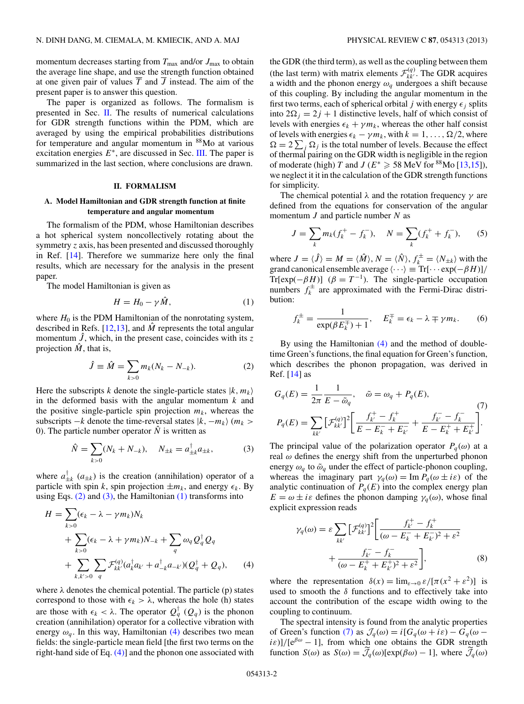<span id="page-1-0"></span>momentum decreases starting from  $T_{\text{max}}$  and/or  $J_{\text{max}}$  to obtain the average line shape, and use the strength function obtained at one given pair of values  $\overline{T}$  and  $\overline{J}$  instead. The aim of the present paper is to answer this question.

The paper is organized as follows. The formalism is presented in Sec. II. The results of numerical calculations for GDR strength functions within the PDM, which are averaged by using the empirical probabilities distributions for temperature and angular momentum in 88Mo at various excitation energies  $E^*$ , are discussed in Sec. [III.](#page-2-0) The paper is summarized in the last section, where conclusions are drawn.

## **II. FORMALISM**

## **A. Model Hamiltonian and GDR strength function at finite temperature and angular momentum**

The formalism of the PDM, whose Hamiltonian describes a hot spherical system noncollectively rotating about the symmetry *z* axis, has been presented and discussed thoroughly in Ref. [\[14\]](#page-6-0). Therefore we summarize here only the final results, which are necessary for the analysis in the present paper.

The model Hamiltonian is given as

$$
H = H_0 - \gamma \hat{M}, \tag{1}
$$

where  $H_0$  is the PDM Hamiltonian of the nonrotating system, described in Refs. [\[12,13\]](#page-6-0), and  $\hat{M}$  represents the total angular momentum  $\hat{J}$ , which, in the present case, coincides with its z projection  $\hat{M}$ , that is,

$$
\hat{J} \equiv \hat{M} = \sum_{k>0} m_k (N_k - N_{-k}). \tag{2}
$$

Here the subscripts k denote the single-particle states  $|k, m_k\rangle$ in the deformed basis with the angular momentum  $k$  and the positive single-particle spin projection  $m_k$ , whereas the subscripts  $-k$  denote the time-reversal states  $|k, -m_k\rangle$  ( $m_k >$ 0). The particle number operator  $\hat{N}$  is written as

$$
\hat{N} = \sum_{k>0} (N_k + N_{-k}), \quad N_{\pm k} = a_{\pm k}^{\dagger} a_{\pm k}, \tag{3}
$$

where  $a_{\pm k}^{\dagger}$   $(a_{\pm k})$  is the creation (annihilation) operator of a particle with spin k, spin projection  $\pm m_k$ , and energy  $\epsilon_k$ . By using Eqs.  $(2)$  and  $(3)$ , the Hamiltonian  $(1)$  transforms into

$$
H = \sum_{k>0} (\epsilon_k - \lambda - \gamma m_k) N_k
$$
  
+ 
$$
\sum_{k>0} (\epsilon_k - \lambda + \gamma m_k) N_{-k} + \sum_q \omega_q Q_q^{\dagger} Q_q
$$
  
+ 
$$
\sum_{k,k'>0} \sum_q \mathcal{F}_{kk'}^{(q)} (a_k^{\dagger} a_{k'} + a_{-k}^{\dagger} a_{-k'})(Q_q^{\dagger} + Q_q), \qquad (4)
$$

where  $\lambda$  denotes the chemical potential. The particle (p) states correspond to those with  $\epsilon_k > \lambda$ , whereas the hole (h) states are those with  $\epsilon_k < \lambda$ . The operator  $Q_q^{\dagger}$  ( $Q_q$ ) is the phonon creation (annihilation) operator for a collective vibration with energy  $\omega_q$ . In this way, Hamiltonian (4) describes two mean fields: the single-particle mean field [the first two terms on the right-hand side of Eq. (4)] and the phonon one associated with

the GDR (the third term), as well as the coupling between them (the last term) with matrix elements  $\mathcal{F}_{kk'}^{(q)}$ . The GDR acquires a width and the phonon energy  $\omega_q$  undergoes a shift because of this coupling. By including the angular momentum in the first two terms, each of spherical orbital j with energy  $\epsilon_i$  splits into  $2\Omega_i = 2j + 1$  distinctive levels, half of which consist of levels with energies  $\epsilon_k + \gamma m_k$ , whereas the other half consist of levels with energies  $\epsilon_k - \gamma m_k$ , with  $k = 1, ..., \Omega/2$ , where  $\Omega = 2 \sum_j \Omega_j$  is the total number of levels. Because the effect of thermal pairing on the GDR width is negligible in the region of moderate (high) T and J ( $E^* \ge 58$  MeV for <sup>88</sup>Mo [\[13,15\]](#page-6-0)), we neglect it it in the calculation of the GDR strength functions for simplicity.

The chemical potential  $\lambda$  and the rotation frequency  $\gamma$  are defined from the equations for conservation of the angular momentum  $J$  and particle number  $N$  as

$$
J = \sum_{k} m_k (f_k^+ - f_k^-), \quad N = \sum_{k} (f_k^+ + f_k^-), \quad (5)
$$

where  $J = \langle \hat{J} \rangle = M = \langle \hat{M} \rangle$ ,  $N = \langle \hat{N} \rangle$ ,  $f_k^{\pm} = \langle N_{\pm k} \rangle$  with the grand canonical ensemble average  $\langle \cdots \rangle \equiv \text{Tr}[\cdots \exp(-\beta H)]/$ Tr[exp( $-\beta H$ )] ( $\beta = T^{-1}$ ). The single-particle occupation numbers  $f_k^{\pm}$  are approximated with the Fermi-Dirac distribution:

$$
f_k^{\pm} = \frac{1}{\exp(\beta E_k^{\mp}) + 1}, \quad E_k^{\mp} = \epsilon_k - \lambda \mp \gamma m_k. \tag{6}
$$

By using the Hamiltonian (4) and the method of doubletime Green's functions, the final equation for Green's function, which describes the phonon propagation, was derived in Ref.  $[14]$  as

$$
G_q(E) = \frac{1}{2\pi} \frac{1}{E - \tilde{\omega}_q}, \quad \tilde{\omega} = \omega_q + P_q(E),
$$
  
\n
$$
P_q(E) = \sum_{kk'} \left[ \mathcal{F}_{kk'}^{(q)} \right]^2 \left[ \frac{f_{k'}^+ - f_k^+}{E - E_k^- + E_{k'}^-} + \frac{f_{k'}^- - f_k^-}{E - E_k^+ + E_{k'}^+} \right].
$$
\n(7)

The principal value of the polarization operator  $P_q(\omega)$  at a real  $\omega$  defines the energy shift from the unperturbed phonon energy  $\omega_q$  to  $\tilde{\omega}_q$  under the effect of particle-phonon coupling, whereas the imaginary part  $\gamma_q(\omega) = \text{Im } P_q(\omega \pm i\varepsilon)$  of the analytic continuation of  $P_q(E)$  into the complex energy plan  $E = \omega \pm i\varepsilon$  defines the phonon damping  $\gamma_q(\omega)$ , whose final explicit expression reads

$$
\gamma_q(\omega) = \varepsilon \sum_{kk'} \left[ \mathcal{F}_{kk'}^{(q)} \right]^2 \left[ \frac{f_k^+ - f_k^+}{(\omega - E_k^- + E_k^-)^2 + \varepsilon^2} + \frac{f_k^- - f_k^-}{(\omega - E_k^+ + E_k^+)^2 + \varepsilon^2} \right],\tag{8}
$$

where the representation  $\delta(x) = \lim_{\varepsilon \to 0} \varepsilon / [\pi (x^2 + \varepsilon^2)]$  is used to smooth the  $\delta$  functions and to effectively take into account the contribution of the escape width owing to the coupling to continuum.

The spectral intensity is found from the analytic properties of Green's function (7) as  $\mathcal{J}_q(\omega) = i[G_q(\omega + i\varepsilon) - G_q(\omega$  $i\varepsilon$ )]/[e<sup> $\beta\omega$ </sup> – 1], from which one obtains the GDR strength function  $S(\omega)$  as  $S(\omega) = \mathcal{J}_q(\omega) [\exp(\beta \omega) - 1]$ , where  $\mathcal{J}_q(\omega)$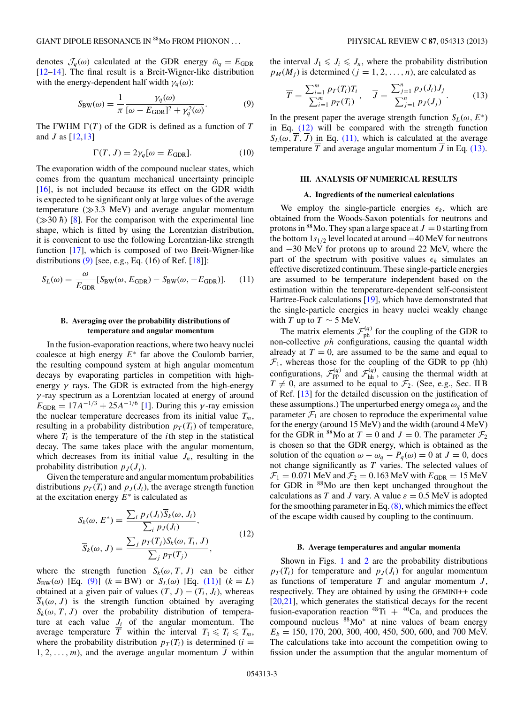<span id="page-2-0"></span>denotes  $\mathcal{J}_q(\omega)$  calculated at the GDR energy  $\tilde{\omega}_q = E_{\text{GDR}}$ [\[12–14\]](#page-6-0). The final result is a Breit-Wigner-like distribution with the energy-dependent half width  $\gamma_a(\omega)$ :

$$
S_{\text{BW}}(\omega) = \frac{1}{\pi} \frac{\gamma_q(\omega)}{[\omega - E_{\text{GDR}}]^2 + \gamma_q^2(\omega)}.
$$
 (9)

The FWHM  $\Gamma(T)$  of the GDR is defined as a function of T and  $J$  as  $[12,13]$ 

$$
\Gamma(T, J) = 2\gamma_q[\omega = E_{\text{GDR}}].\tag{10}
$$

The evaporation width of the compound nuclear states, which comes from the quantum mechanical uncertainty principle [\[16\]](#page-6-0), is not included because its effect on the GDR width is expected to be significant only at large values of the average temperature  $(\gg 3.3 \text{ MeV})$  and average angular momentum  $(\gg 30 \; \hbar)$  [\[8\]](#page-6-0). For the comparison with the experimental line shape, which is fitted by using the Lorentzian distribution, it is convenient to use the following Lorentzian-like strength function [\[17\]](#page-6-0), which is composed of two Breit-Wigner-like distributions (9) [see, e.g., Eq. (16) of Ref. [\[18\]](#page-7-0)]:

$$
S_L(\omega) = \frac{\omega}{E_{\text{GDR}}} [S_{\text{BW}}(\omega, E_{\text{GDR}}) - S_{\text{BW}}(\omega, -E_{\text{GDR}})]. \tag{11}
$$

# **B. Averaging over the probability distributions of temperature and angular momentum**

In the fusion-evaporation reactions, where two heavy nuclei coalesce at high energy  $E^*$  far above the Coulomb barrier, the resulting compound system at high angular momentum decays by evaporating particles in competition with highenergy  $\gamma$  rays. The GDR is extracted from the high-energy γ -ray spectrum as a Lorentzian located at energy of around  $E_{\text{GDR}} = 17A^{-1/3} + 25A^{-1/6}$  [\[1\]](#page-6-0). During this  $\gamma$ -ray emission the nuclear temperature decreases from its initial value  $T_m$ , resulting in a probability distribution  $p_T(T_i)$  of temperature, where  $T_i$  is the temperature of the *i*th step in the statistical decay. The same takes place with the angular momentum, which decreases from its initial value  $J_n$ , resulting in the probability distribution  $p_J (J_i)$ .

Given the temperature and angular momentum probabilities distributions  $p_T(T_i)$  and  $p_J(J_i)$ , the average strength function at the excitation energy  $E^*$  is calculated as

$$
S_k(\omega, E^*) = \frac{\sum_i p_j(J_i)\overline{S}_k(\omega, J_i)}{\sum_i p_j(J_i)},
$$
  

$$
\overline{S}_k(\omega, J) = \frac{\sum_j p_T(T_j)S_k(\omega, T_i, J)}{\sum_j p_T(T_j)},
$$
(12)

where the strength function  $S_k(\omega, T, J)$  can be either  $S_{BW}(\omega)$  [Eq. (9)]  $(k = BW)$  or  $S_L(\omega)$  [Eq. (11)]  $(k = L)$ obtained at a given pair of values  $(T, J) = (T_i, J_i)$ , whereas  $S_k(\omega, J)$  is the strength function obtained by averaging  $S_k(\omega, T, J)$  over the probability distribution of temperature at each value  $J_i$  of the angular momentum. The average temperature  $\overline{T}$  within the interval  $T_1 \leq T_i \leq T_m$ , where the probability distribution  $p_T(T_i)$  is determined (*i* =  $1, 2, \ldots, m$ , and the average angular momentum  $\overline{J}$  within

the interval  $J_1 \leqslant J_i \leqslant J_n$ , where the probability distribution  $p_M(M_i)$  is determined  $(j = 1, 2, \ldots, n)$ , are calculated as

$$
\overline{T} = \frac{\sum_{i=1}^{m} p_T(T_i) T_i}{\sum_{i=1}^{m} p_T(T_i)}, \quad \overline{J} = \frac{\sum_{j=1}^{n} p_J(J_i) J_j}{\sum_{j=1}^{n} p_J(J_j)}.
$$
(13)

In the present paper the average strength function  $S_L(\omega, E^*)$ in Eq. (12) will be compared with the strength function  $S_L(\omega, \overline{T}, \overline{J})$  in Eq. (11), which is calculated at the average temperature  $\overline{T}$  and average angular momentum  $\overline{J}$  in Eq. (13).

#### **III. ANALYSIS OF NUMERICAL RESULTS**

#### **A. Ingredients of the numerical calculations**

We employ the single-particle energies  $\epsilon_k$ , which are obtained from the Woods-Saxon potentials for neutrons and protons in <sup>88</sup>Mo. They span a large space at  $J = 0$  starting from the bottom  $1s_{1/2}$  level located at around  $-40$  MeV for neutrons and −30 MeV for protons up to around 22 MeV, where the part of the spectrum with positive values  $\epsilon_k$  simulates an effective discretized continuum. These single-particle energies are assumed to be temperature independent based on the estimation within the temperature-dependent self-consistent Hartree-Fock calculations [\[19\]](#page-7-0), which have demonstrated that the single-particle energies in heavy nuclei weakly change with T up to  $T \sim 5$  MeV.

The matrix elements  $\mathcal{F}_{ph}^{(q)}$  for the coupling of the GDR to non-collective ph configurations, causing the quantal width already at  $T = 0$ , are assumed to be the same and equal to  $\mathcal{F}_1$ , whereas those for the coupling of the GDR to pp (hh) configurations,  $\mathcal{F}_{\text{pp}}^{(q)}$  and  $\mathcal{F}_{\text{hh}}^{(q)}$ , causing the thermal width at  $T \neq 0$ , are assumed to be equal to  $\mathcal{F}_2$ . (See, e.g., Sec. II B of Ref. [\[13\]](#page-6-0) for the detailed discussion on the justification of these assumptions.) The unperturbed energy omega  $\omega_q$  and the parameter  $\mathcal{F}_1$  are chosen to reproduce the experimental value for the energy (around 15 MeV) and the width (around 4 MeV) for the GDR in <sup>88</sup>Mo at  $T = 0$  and  $J = 0$ . The parameter  $\mathcal{F}_2$ is chosen so that the GDR energy, which is obtained as the solution of the equation  $\omega - \omega_q - P_q(\omega) = 0$  at  $J = 0$ , does not change significantly as  $T$  varies. The selected values of  $\mathcal{F}_1 = 0.071$  MeV and  $\mathcal{F}_2 = 0.163$  MeV with  $E_{GDR} = 15$  MeV for GDR in <sup>88</sup>Mo are then kept unchanged throughout the calculations as T and J vary. A value  $\varepsilon = 0.5$  MeV is adopted for the smoothing parameter in Eq.  $(8)$ , which mimics the effect of the escape width caused by coupling to the continuum.

#### **B. Average temperatures and angular momenta**

Shown in Figs. [1](#page-3-0) and [2](#page-3-0) are the probability distributions  $p_T(T_i)$  for temperature and  $p_J(J_i)$  for angular momentum as functions of temperature  $T$  and angular momentum  $J$ , respectively. They are obtained by using the GEMINI++ code [\[20,21\]](#page-7-0), which generates the statistical decays for the recent fusion-evaporation reaction  $^{48}$ Ti +  $^{40}$ Ca, and produces the compound nucleus 88Mo<sup>∗</sup> at nine values of beam energy  $E<sub>b</sub> = 150, 170, 200, 300, 400, 450, 500, 600,$  and 700 MeV. The calculations take into account the competition owing to fission under the assumption that the angular momentum of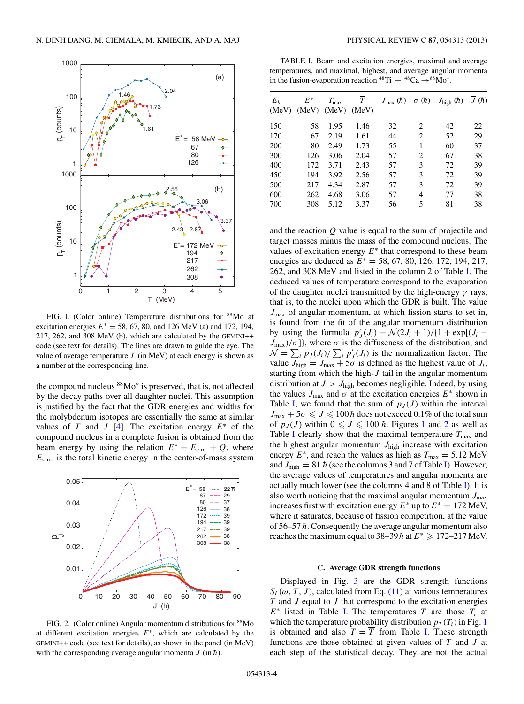<span id="page-3-0"></span>

FIG. 1. (Color online) Temperature distributions for <sup>88</sup>Mo at excitation energies  $E^* = 58, 67, 80,$  and 126 MeV (a) and 172, 194, 217, 262, and 308 MeV (b), which are calculated by the GEMINI++ code (see text for details). The lines are drawn to guide the eye. The value of average temperature  $\overline{T}$  (in MeV) at each energy is shown as a number at the corresponding line.

the compound nucleus 88Mo<sup>∗</sup> is preserved, that is, not affected by the decay paths over all daughter nuclei. This assumption is justified by the fact that the GDR energies and widths for the molybdenum isotopes are essentially the same at similar values of T and J [\[4\]](#page-6-0). The excitation energy  $E^*$  of the compound nucleus in a complete fusion is obtained from the beam energy by using the relation  $E^* = E_{cm} + Q$ , where  $E_{\text{c.m.}}$  is the total kinetic energy in the center-of-mass system



FIG. 2. (Color online) Angular momentum distributions for  $88$ Mo at different excitation energies  $E^*$ , which are calculated by the GEMINI++ code (see text for details), as shown in the panel (in MeV) with the corresponding average angular momenta  $\overline{J}$  (in  $\hbar$ ).

TABLE I. Beam and excitation energies, maximal and average temperatures, and maximal, highest, and average angular momenta in the fusion-evaporation reaction  $^{48}\text{Ti} + ^{48}\text{Ca} \rightarrow ^{88}\text{Mo}^*$ .

| $E_h$<br>(MeV) | $E^\ast$<br>(MeV) | $T_{\rm max}$<br>(MeV) | $\tau$<br>(MeV) | $J_{\text{max}}(\hbar)$ | $\sigma(h)$    | $J_{\text{high}}\left(\hbar\right)$ | $\overline{J}(\hbar)$ |
|----------------|-------------------|------------------------|-----------------|-------------------------|----------------|-------------------------------------|-----------------------|
| 150            | 58                | 1.95                   | 1.46            | 32                      | 2              | 42                                  | 22                    |
| 170            | 67                | 2.19                   | 1.61            | 44                      | 2              | 52                                  | 29                    |
| 200            | 80                | 2.49                   | 1.73            | 55                      | 1              | 60                                  | 37                    |
| 300            | 126               | 3.06                   | 2.04            | 57                      | $\overline{2}$ | 67                                  | 38                    |
| 400            | 172               | 3.71                   | 2.43            | 57                      | 3              | 72                                  | 39                    |
| 450            | 194               | 3.92                   | 2.56            | 57                      | 3              | 72                                  | 39                    |
| 500            | 217               | 4.34                   | 2.87            | 57                      | 3              | 72                                  | 39                    |
| 600            | 262               | 4.68                   | 3.06            | 57                      | 4              | 77                                  | 38                    |
| 700            | 308               | 5.12                   | 3.37            | 56                      | 5              | 81                                  | 38                    |

and the reaction  $Q$  value is equal to the sum of projectile and target masses minus the mass of the compound nucleus. The values of excitation energy  $E^*$  that correspond to these beam energies are deduced as  $E^* = 58, 67, 80, 126, 172, 194, 217,$ 262, and 308 MeV and listed in the column 2 of Table I. The deduced values of temperature correspond to the evaporation of the daughter nuclei transmitted by the high-energy  $\gamma$  rays, that is, to the nuclei upon which the GDR is built. The value  $J_{\text{max}}$  of angular momentum, at which fission starts to set in, is found from the fit of the angular momentum distribution by using the formula  $p'_J(J_i) = \mathcal{N}(2J_i + 1)/\{1 + \exp[(J_i J_{\text{max}}/\sigma$ ], where  $\sigma$  is the diffuseness of the distribution, and  $\mathcal{N} = \sum_i p_j(J_i) / \sum_i p'_j(J_i)$  is the normalization factor. The value  $J_{\text{high}} = J_{\text{max}} + 5\sigma$  is defined as the highest value of  $J_i$ , starting from which the high- $J$  tail in the angular momentum distribution at  $J > J_{\text{high}}$  becomes negligible. Indeed, by using the values  $J_{\text{max}}$  and  $\sigma$  at the excitation energies  $E^*$  shown in Table I, we found that the sum of  $p_J(J)$  within the interval  $J_{\text{max}} + 5\sigma \leqslant J \leqslant 100 \hbar$  does not exceed 0.1% of the total sum of  $p_J(J)$  within  $0 \leq J \leq 100 \hbar$ . Figures 1 and 2 as well as Table I clearly show that the maximal temperature  $T_{\text{max}}$  and the highest angular momentum  $J_{\text{high}}$  increase with excitation energy  $E^*$ , and reach the values as high as  $T_{\text{max}} = 5.12 \text{ MeV}$ and  $J_{\text{high}} = 81 \hbar$  (see the columns 3 and 7 of Table I). However, the average values of temperatures and angular momenta are actually much lower (see the columns 4 and 8 of Table I). It is also worth noticing that the maximal angular momentum  $J_{\text{max}}$ increases first with excitation energy  $E^*$  up to  $E^* = 172$  MeV, where it saturates, because of fission competition, at the value of  $56-57 \hbar$ . Consequently the average angular momentum also reaches the maximum equal to 38–39 $\hbar$  at  $E^* \ge 172$ –217 MeV.

## **C. Average GDR strength functions**

Displayed in Fig. [3](#page-4-0) are the GDR strength functions  $S_L(\omega, T, J)$ , calculated from Eq. [\(11\)](#page-2-0) at various temperatures T and J equal to  $\overline{J}$  that correspond to the excitation energies  $E^*$  listed in Table I. The temperatures T are those  $T_i$  at which the temperature probability distribution  $p_T(T_i)$  in Fig. 1 is obtained and also  $T = \overline{T}$  from Table I. These strength functions are those obtained at given values of T and J at each step of the statistical decay. They are not the actual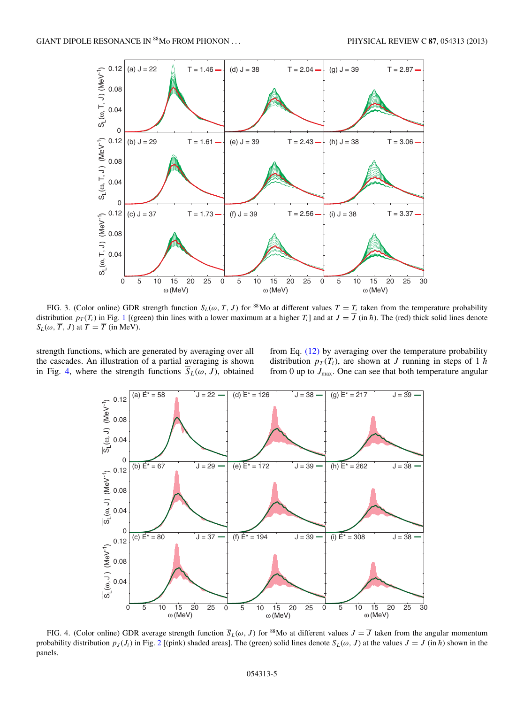<span id="page-4-0"></span>

FIG. 3. (Color online) GDR strength function  $S_L(\omega, T, J)$  for <sup>88</sup>Mo at different values  $T = T_i$  taken from the temperature probability distribution  $p_T(T_i)$  in Fig. [1](#page-3-0) [(green) thin lines with a lower maximum at a higher  $T_i$ ] and at  $J = \overline{J}$  (in  $\hbar$ ). The (red) thick solid lines denote  $S_L(\omega, \overline{T}, J)$  at  $T = \overline{T}$  (in MeV).

strength functions, which are generated by averaging over all the cascades. An illustration of a partial averaging is shown in Fig. 4, where the strength functions  $\overline{S}_L(\omega, J)$ , obtained

from Eq. [\(12\)](#page-2-0) by averaging over the temperature probability distribution  $p_T(T_i)$ , are shown at J running in steps of 1  $\hbar$ from 0 up to  $J_{\text{max}}$ . One can see that both temperature angular



FIG. 4. (Color online) GDR average strength function  $\overline{S}_L(\omega, J)$  for <sup>88</sup>Mo at different values  $J = \overline{J}$  taken from the angular momentum probability distribution  $p_J (J_i)$  in Fig. [2](#page-3-0) [(pink) shaded areas]. The (green) solid lines denote  $\overline{S}_L(\omega, \overline{J})$  at the values  $J = \overline{J}$  (in  $\hbar$ ) shown in the panels.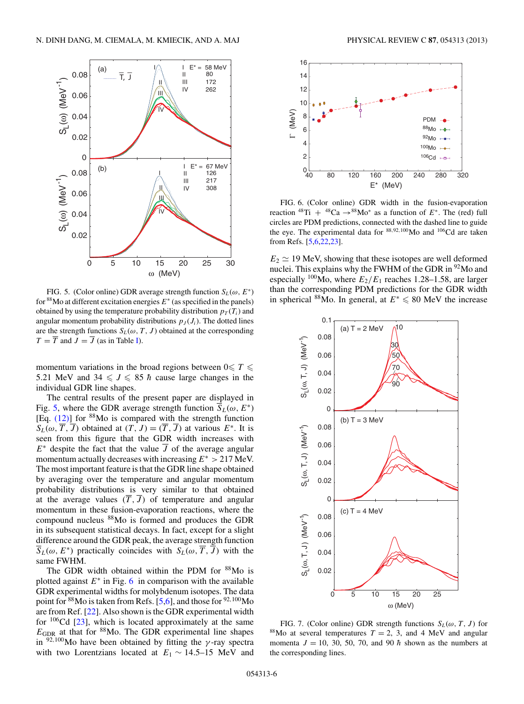<span id="page-5-0"></span>

FIG. 5. (Color online) GDR average strength function  $S_L(\omega, E^*)$ for  $88$ Mo at different excitation energies  $E^*$  (as specified in the panels) obtained by using the temperature probability distribution  $p_T(T_i)$  and angular momentum probability distributions  $p_J (J_i)$ . The dotted lines are the strength functions  $S_L(\omega, T, J)$  obtained at the corresponding  $T = \overline{T}$  and  $J = \overline{J}$  (as in Table [I\)](#page-3-0).

momentum variations in the broad regions between  $0 \leq T \leq$ 5.21 MeV and  $34 \leq J \leq 85$  h cause large changes in the individual GDR line shapes.

The central results of the present paper are displayed in Fig. 5, where the GDR average strength function  $\overline{S}_L(\omega, E^*)$ [Eq. [\(12\)\]](#page-2-0) for 88Mo is compared with the strength function  $S_L(\omega, \overline{T}, \overline{J})$  obtained at  $(T, J) = (\overline{T}, \overline{J})$  at various  $E^*$ . It is seen from this figure that the GDR width increases with  $E^*$  despite the fact that the value  $\overline{J}$  of the average angular momentum actually decreases with increasing  $E^* > 217$  MeV. The most important feature is that the GDR line shape obtained by averaging over the temperature and angular momentum probability distributions is very similar to that obtained at the average values  $(\overline{T}, \overline{J})$  of temperature and angular momentum in these fusion-evaporation reactions, where the compound nucleus 88Mo is formed and produces the GDR in its subsequent statistical decays. In fact, except for a slight difference around the GDR peak, the average strength function  $\overline{S}_L(\omega, E^*)$  practically coincides with  $S_L(\omega, \overline{T}, \overline{J})$  with the same FWHM.

The GDR width obtained within the PDM for <sup>88</sup>Mo is plotted against  $E^*$  in Fig. 6 in comparison with the available GDR experimental widths for molybdenum isotopes. The data point for <sup>88</sup>Mo is taken from Refs. [\[5,6\]](#page-6-0), and those for <sup>92,100</sup>Mo are from Ref. [\[22\]](#page-7-0). Also shown is the GDR experimental width for  $106$ Cd [\[23\]](#page-7-0), which is located approximately at the same  $E_{\text{GDR}}$  at that for <sup>88</sup>Mo. The GDR experimental line shapes in  $92,100$ Mo have been obtained by fitting the *γ*-ray spectra with two Lorentzians located at  $E_1 \sim 14.5$ –15 MeV and



FIG. 6. (Color online) GDR width in the fusion-evaporation reaction  $^{48}Ti + ^{48}Ca \rightarrow ^{88}Mo^*$  as a function of  $E^*$ . The (red) full circles are PDM predictions, connected with the dashed line to guide the eye. The experimental data for <sup>88</sup>,92,100Mo and 106Cd are taken from Refs. [\[5,6](#page-6-0)[,22,23\]](#page-7-0).

 $E_2 \simeq 19$  MeV, showing that these isotopes are well deformed nuclei. This explains why the FWHM of the GDR in <sup>92</sup>Mo and especially <sup>100</sup>Mo, where  $E_2/E_1$  reaches 1.28–1.58, are larger than the corresponding PDM predictions for the GDR width in spherical <sup>88</sup>Mo. In general, at  $E^* \le 80$  MeV the increase



FIG. 7. (Color online) GDR strength functions  $S_L(\omega, T, J)$  for <sup>88</sup>Mo at several temperatures  $T = 2$ , 3, and 4 MeV and angular momenta  $J = 10, 30, 50, 70,$  and 90  $\hbar$  shown as the numbers at the corresponding lines.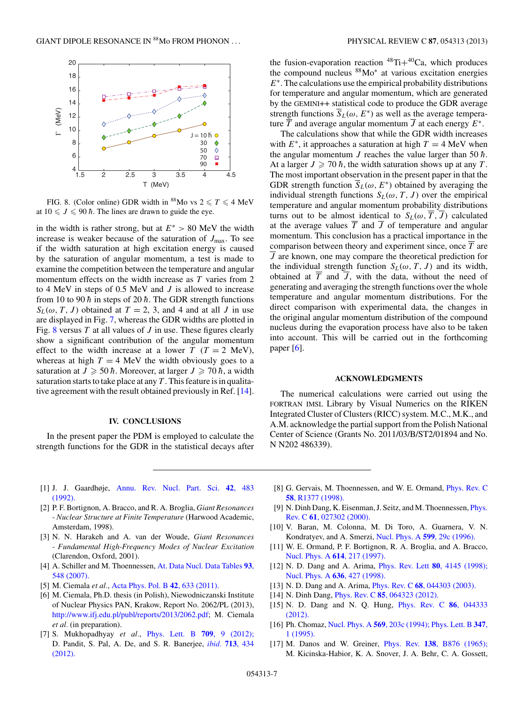<span id="page-6-0"></span>

FIG. 8. (Color online) GDR width in <sup>88</sup>Mo vs  $2 \le T \le 4$  MeV at  $10 \leqslant J \leqslant 90 \, \hbar$ . The lines are drawn to guide the eye.

in the width is rather strong, but at  $E^* > 80$  MeV the width increase is weaker because of the saturation of  $J_{\text{max}}$ . To see if the width saturation at high excitation energy is caused by the saturation of angular momentum, a test is made to examine the competition between the temperature and angular momentum effects on the width increase as  $T$  varies from  $2$ to 4 MeV in steps of  $0.5$  MeV and  $J$  is allowed to increase from 10 to 90  $\hbar$  in steps of 20  $\hbar$ . The GDR strength functions  $S_L(\omega, T, J)$  obtained at  $T = 2, 3$ , and 4 and at all J in use are displayed in Fig. [7,](#page-5-0) whereas the GDR widths are plotted in Fig. 8 versus T at all values of J in use. These figures clearly show a significant contribution of the angular momentum effect to the width increase at a lower  $T(T = 2 \text{ MeV})$ , whereas at high  $T = 4$  MeV the width obviously goes to a saturation at  $J \geqslant 50 \, \hbar$ . Moreover, at larger  $J \geqslant 70 \, \hbar$ , a width saturation starts to take place at any  $T$ . This feature is in qualitative agreement with the result obtained previously in Ref. [14].

### **IV. CONCLUSIONS**

In the present paper the PDM is employed to calculate the strength functions for the GDR in the statistical decays after

the fusion-evaporation reaction  $^{48}Ti+^{40}Ca$ , which produces the compound nucleus 88Mo<sup>∗</sup> at various excitation energies  $E^*$ . The calculations use the empirical probability distributions for temperature and angular momentum, which are generated by the GEMINI++ statistical code to produce the GDR average strength functions  $\overline{S}_L(\omega, E^*)$  as well as the average temperature  $\overline{T}$  and average angular momentum  $\overline{J}$  at each energy  $E^*$ .

The calculations show that while the GDR width increases with  $E^*$ , it approaches a saturation at high  $T = 4$  MeV when the angular momentum J reaches the value larger than 50  $\hbar$ . At a larger  $J \geq 70 \hbar$ , the width saturation shows up at any T. The most important observation in the present paper in that the GDR strength function  $\overline{S}_L(\omega, E^*)$  obtained by averaging the individual strength functions  $S_L(\omega, T, J)$  over the empirical temperature and angular momentum probability distributions turns out to be almost identical to  $S_L(\omega, \overline{T}, \overline{J})$  calculated at the average values  $\overline{T}$  and  $\overline{J}$  of temperature and angular momentum. This conclusion has a practical importance in the comparison between theory and experiment since, once T are  $\overline{J}$  are known, one may compare the theoretical prediction for the individual strength function  $S_L(\omega, T, J)$  and its width, obtained at  $\overline{T}$  and  $\overline{J}$ , with the data, without the need of generating and averaging the strength functions over the whole temperature and angular momentum distributions. For the direct comparison with experimental data, the changes in the original angular momentum distribution of the compound nucleus during the evaporation process have also to be taken into account. This will be carried out in the forthcoming paper [6].

#### **ACKNOWLEDGMENTS**

The numerical calculations were carried out using the FORTRAN IMSL Library by Visual Numerics on the RIKEN Integrated Cluster of Clusters (RICC) system. M.C., M.K., and A.M. acknowledge the partial support from the Polish National Center of Science (Grants No. 2011/03/B/ST2/01894 and No. N N202 486339).

- [1] J. J. Gaardhøje, [Annu. Rev. Nucl. Part. Sci.](http://dx.doi.org/10.1146/annurev.ns.42.120192.002411) **42**, 483 [\(1992\).](http://dx.doi.org/10.1146/annurev.ns.42.120192.002411)
- [2] P. F. Bortignon, A. Bracco, and R. A. Broglia, *Giant Resonances - Nuclear Structure at Finite Temperature* (Harwood Academic, Amsterdam, 1998).
- [3] N. N. Harakeh and A. van der Woude, *Giant Resonances - Fundamental High-Frequency Modes of Nuclear Excitation* (Clarendon, Oxford, 2001).
- [4] A. Schiller and M. Thoennessen, [At. Data Nucl. Data Tables](http://dx.doi.org/10.1016/j.adt.2006.12.002) **93**, [548 \(2007\).](http://dx.doi.org/10.1016/j.adt.2006.12.002)
- [5] M. Ciemala *et al.*, [Acta Phys. Pol. B](http://dx.doi.org/10.5506/APhysPolB.42.633) **42**, 633 (2011).
- [6] M. Ciemala, Ph.D. thesis (in Polish), Niewodniczanski Institute of Nuclear Physics PAN, Krakow, Report No. 2062/PL (2013), [http://www.ifj.edu.pl/publ/reports/2013/2062.pdf;](http://www.ifj.edu.pl/publ/reports/2013/2062.pdf) M. Ciemala *et al.* (in preparation).
- [7] S. Mukhopadhyay *et al.*, [Phys. Lett. B](http://dx.doi.org/10.1016/j.physletb.2012.01.059) **709**, 9 (2012); D. Pandit, S. Pal, A. De, and S. R. Banerjee, *ibid.* **713**[, 434](http://dx.doi.org/10.1016/j.physletb.2012.06.033) [\(2012\).](http://dx.doi.org/10.1016/j.physletb.2012.06.033)
- [8] G. Gervais, M. Thoennessen, and W. E. Ormand, *[Phys. Rev. C](http://dx.doi.org/10.1103/PhysRevC.58.R1377)* **58**[, R1377 \(1998\).](http://dx.doi.org/10.1103/PhysRevC.58.R1377)
- [9] N. Dinh Dang, K. Eisenman, J. Seitz, and M. Thoennessen, [Phys.](http://dx.doi.org/10.1103/PhysRevC.61.027302) Rev. C **61**[, 027302 \(2000\).](http://dx.doi.org/10.1103/PhysRevC.61.027302)
- [10] V. Baran, M. Colonna, M. Di Toro, A. Guarnera, V. N. Kondratyev, and A. Smerzi, [Nucl. Phys. A](http://dx.doi.org/10.1016/0375-9474(96)00045-0) **599**, 29c (1996).
- [11] W. E. Ormand, P. F. Bortignon, R. A. Broglia, and A. Bracco, [Nucl. Phys. A](http://dx.doi.org/10.1016/S0375-9474(96)00464-2) **614**, 217 (1997).
- [12] N. D. Dang and A. Arima, [Phys. Rev. Lett](http://dx.doi.org/10.1103/PhysRevLett.80.4145) **80**, 4145 (1998); [Nucl. Phys. A](http://dx.doi.org/10.1016/S0375-9474(98)00211-5) **636**, 427 (1998).
- [13] N. D. Dang and A. Arima, Phys. Rev. C **68**[, 044303 \(2003\).](http://dx.doi.org/10.1103/PhysRevC.68.044303)
- [14] N. Dinh Dang, Phys. Rev. C **85**[, 064323 \(2012\).](http://dx.doi.org/10.1103/PhysRevC.85.064323)
- [15] N. D. Dang and N. Q. Hung, [Phys. Rev. C](http://dx.doi.org/10.1103/PhysRevC.86.044333) **86**, 044333 [\(2012\).](http://dx.doi.org/10.1103/PhysRevC.86.044333)
- [16] Ph. Chomaz, Nucl. Phys. A **569**[, 203c \(1994\);](http://dx.doi.org/10.1016/0375-9474(94)90111-2) [Phys. Lett. B](http://dx.doi.org/10.1016/0370-2693(95)00028-J) **347**, [1 \(1995\).](http://dx.doi.org/10.1016/0370-2693(95)00028-J)
- [17] M. Danos and W. Greiner, Phys. Rev. **138**[, B876 \(1965\);](http://dx.doi.org/10.1103/PhysRev.138.B876) M. Kicinska-Habior, K. A. Snover, J. A. Behr, C. A. Gossett,